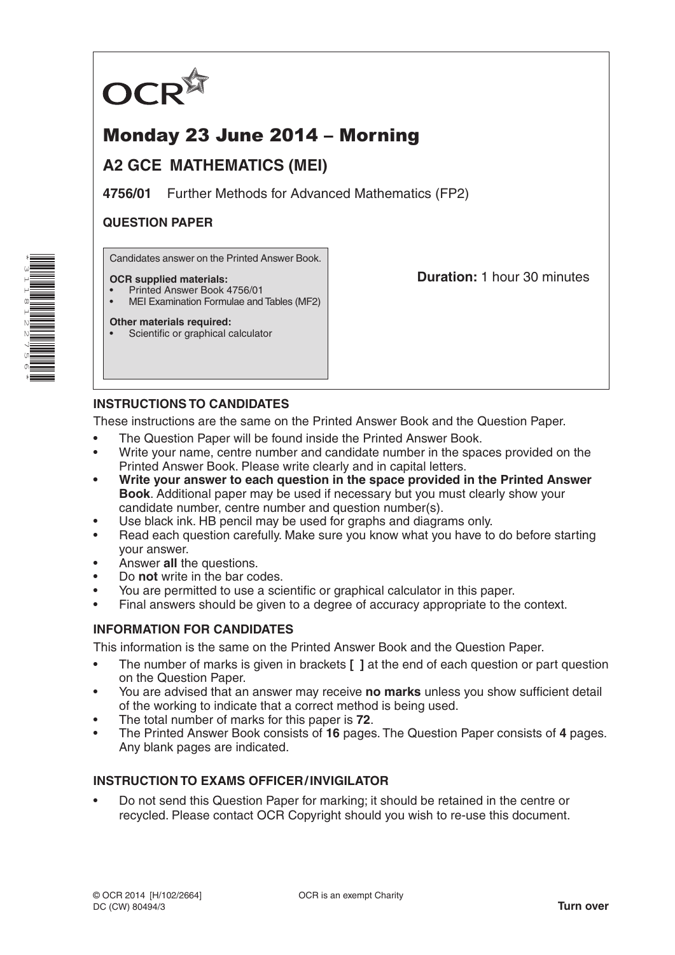

# Monday 23 June 2014 – Morning

## **A2 GCE MATHEMATICS (MEI)**

**4756/01** Further Methods for Advanced Mathematics (FP2)

### **QUESTION PAPER**

Candidates answer on the Printed Answer Book.

#### **OCR supplied materials:**

- Printed Answer Book 4756/01
- MEI Examination Formulae and Tables (MF2)

## **Duration:** 1 hour 30 minutes

## **Other materials required:**

Scientific or graphical calculator

## **INSTRUCTIONS TO CANDIDATES**

These instructions are the same on the Printed Answer Book and the Question Paper.

- The Question Paper will be found inside the Printed Answer Book.
- Write your name, centre number and candidate number in the spaces provided on the Printed Answer Book. Please write clearly and in capital letters.
- **• Write your answer to each question in the space provided in the Printed Answer Book**. Additional paper may be used if necessary but you must clearly show your candidate number, centre number and question number(s).
- Use black ink. HB pencil may be used for graphs and diagrams only.
- Read each question carefully. Make sure you know what you have to do before starting your answer.
- Answer **all** the questions.
- Do **not** write in the bar codes.
- You are permitted to use a scientific or graphical calculator in this paper.
- Final answers should be given to a degree of accuracy appropriate to the context.

### **INFORMATION FOR CANDIDATES**

This information is the same on the Printed Answer Book and the Question Paper.

- The number of marks is given in brackets **[ ]** at the end of each question or part question on the Question Paper.
- You are advised that an answer may receive **no marks** unless you show sufficient detail of the working to indicate that a correct method is being used.
- The total number of marks for this paper is **72**.
- The Printed Answer Book consists of **16** pages. The Question Paper consists of **4** pages. Any blank pages are indicated.

### **INSTRUCTION TO EXAMS OFFICER/INVIGILATOR**

• Do not send this Question Paper for marking; it should be retained in the centre or recycled. Please contact OCR Copyright should you wish to re-use this document.

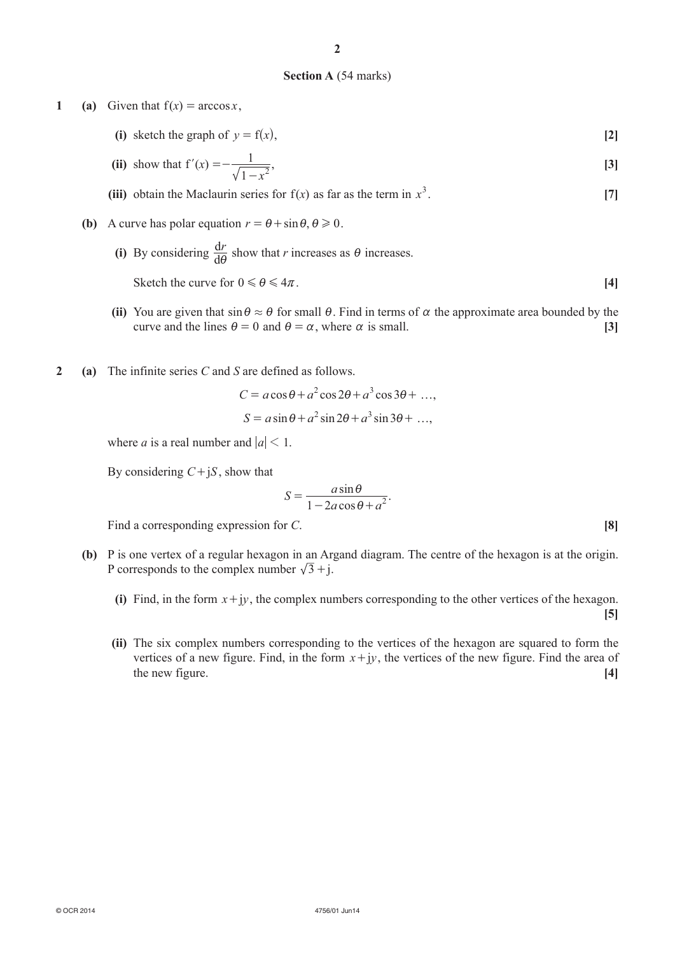#### **Section A** (54 marks)

**1 (a)** Given that  $f(x) = \arccos x$ ,

**(i)** sketch the graph of  $y = f(x)$ , [2]

(ii) show that 
$$
f'(x) = -\frac{1}{\sqrt{1 - x^2}}
$$
, [3]

**(iii)** obtain the Maclaurin series for  $f(x)$  as far as the term in  $x^3$ . . **[7]**

- **(b)** A curve has polar equation  $r = \theta + \sin \theta$ ,  $\theta \ge 0$ .
- **(i)** By considering  $\frac{dr}{d\theta}$  $\frac{dr}{d\theta}$  show that *r* increases as  $\theta$  increases.
	- **(ii)** You are given that  $\sin \theta \approx \theta$  for small  $\theta$ . Find in terms of  $\alpha$  the approximate area bounded by the curve and the lines  $\theta = 0$  and  $\theta = \alpha$ , where  $\alpha$  is small. **[3]**

Sketch the curve for  $0 \le \theta \le 4\pi$ . [4]

**2 (a)** The infinite series *C* and *S* are defined as follows.

$$
C = a\cos\theta + a^2\cos 2\theta + a^3\cos 3\theta + ...,
$$
  

$$
S = a\sin\theta + a^2\sin 2\theta + a^3\sin 3\theta + ...,
$$

where *a* is a real number and  $|a| < 1$ .

By considering  $C + jS$ , show that

$$
S = \frac{a\sin\theta}{1 - 2a\cos\theta + a^2}.
$$

Find a corresponding expression for *C*.

- **(b)** P is one vertex of a regular hexagon in an Argand diagram. The centre of the hexagon is at the origin. P corresponds to the complex number  $\sqrt{3} + j$ .
	- (i) Find, in the form  $x + jy$ , the complex numbers corresponding to the other vertices of the hexagon. **[5]**
	- **(ii)** The six complex numbers corresponding to the vertices of the hexagon are squared to form the vertices of a new figure. Find, in the form  $x + iy$ , the vertices of the new figure. Find the area of the new figure. **[4]**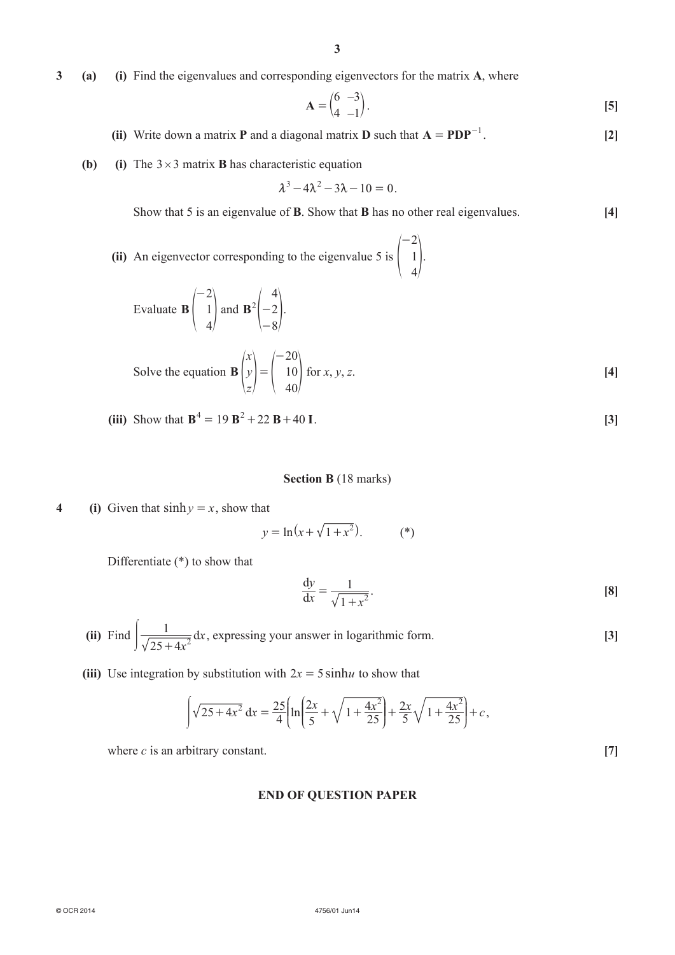**3 (a) (i)** Find the eigenvalues and corresponding eigenvectors for the matrix **A**, where

$$
\mathbf{A} = \begin{pmatrix} 6 & -3 \\ 4 & -1 \end{pmatrix} . \tag{5}
$$

- **(ii)** Write down a matrix **P** and a diagonal matrix **D** such that  $A = PDP^{-1}$ . [2]
- **(b) (i)** The  $3 \times 3$  matrix **B** has characteristic equation

$$
\lambda^3 - 4\lambda^2 - 3\lambda - 10 = 0.
$$

Show that 5 is an eigenvalue of **B**. Show that **B** has no other real eigenvalues. **[4]**

**(ii)** An eigenvector corresponding to the eigenvalue 5 is 2 1 4 -  $\begin{bmatrix} 1 \end{bmatrix}$ .

Evaluate 
$$
\mathbf{B} \begin{pmatrix} -2 \\ 1 \\ 4 \end{pmatrix}
$$
 and  $\mathbf{B}^2 \begin{pmatrix} 4 \\ -2 \\ -8 \end{pmatrix}$ .

Solve the equation 
$$
\mathbf{B} \begin{pmatrix} x \\ y \\ z \end{pmatrix} = \begin{pmatrix} -20 \\ 10 \\ 40 \end{pmatrix}
$$
 for x, y, z. [4]

**(iii)** Show that  $\mathbf{B}^4 = 19 \mathbf{B}^2 + 22 \mathbf{B} + 40 \mathbf{I}$ . [3]

#### **Section B** (18 marks)

**4 (i)** Given that  $\sinh y = x$ , show that

$$
y = \ln(x + \sqrt{1 + x^2}).
$$
 (\*)

Differentiate (\*) to show that

$$
\frac{\mathrm{d}y}{\mathrm{d}x} = \frac{1}{\sqrt{1+x^2}}.\tag{8}
$$

- **(ii)** Find *x x*  $\int \frac{1}{\sqrt{25 + 4x^2}} dx$ , expressing your answer in logarithmic form. **[3]**
- (iii) Use integration by substitution with  $2x = 5 \sinh u$  to show that

$$
\int \sqrt{25+4x^2} \, dx = \frac{25}{4} \left[ \ln \left( \frac{2x}{5} + \sqrt{1+\frac{4x^2}{25}} \right) + \frac{2x}{5} \sqrt{1+\frac{4x^2}{25}} \right] + c,
$$

where  $c$  is an arbitrary constant.  $[7]$ 

#### **END OF QUESTION PAPER**